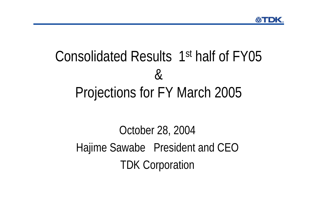# Consolidated Results 1st half of FY05 &Projections for FY March 2005

## October 28, 2004 Hajime Sawabe President and CEO TDK Corporation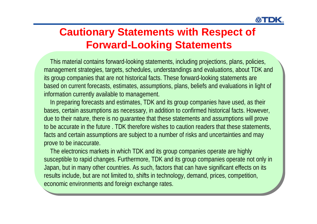#### **Cautionary Statements with Respect of Forward-Looking Statements**

This material contains forward-looking statements, including projections, plans, policies, This material contains forward-looking statements, including projections, plans, policies, management strategies, targets, schedules, understandings and evaluations, about TDK and management strategies, targets, schedules, understandings and evaluations, about TDK and ts group companies that are not historical facts. These forward-looking statements are based on current forecasts, estimates, assumptions, plans, beliefs and evaluations in light of based on current forecasts, estimates, assumptions, plans, beliefs and evaluations in light of information currently available to management. information currently available to management.

In preparing forecasts and estimates, TDK and its group companies have used, as their In preparing forecasts and estimates, TDK and its group companies have used, as their bases, certain assumptions as necessary, in addition to confirmed historical facts. However, bases, certain assumptions as necessary, in addition to confirmed historical facts. However, due to their nature, there is no guarantee that these statements and assumptions will prove due to their nature, there is no guarantee that these statements and assumptions will prove to be accurate in the future . TDK therefore wishes to caution readers that these statements, to be accurate in the future . TDK therefore wishes to caution readers that these statements, facts and certain assumptions are subject to a number of risks and uncertainties and may facts and certain assumptions are subject to a number of risks and uncertainties and may prove to be inaccurate. prove to be inaccurate.

The electronics markets in which TDK and its group companies operate are highly The electronics markets in which TDK and its group companies operate are highly susceptible to rapid changes. Furthermore, TDK and its group companies operate not only in susceptible to rapid changes. Furthermore, TDK and its group companies operate not only in Japan, but in many other countries. As such, factors that can have significant effects on its Japan, but in many other countries. As such, factors that can have significant effects on its results include, but are not limited to, shifts in technology, demand, prices, competition, results include, but are not limited to, shifts in technology, demand, prices, competition, economic environments and foreign exchange rates. economic environments and foreign exchange rates.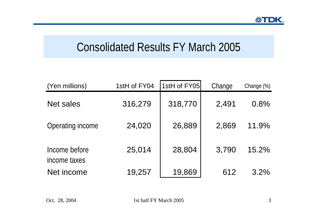## Consolidated Results FY March 2005

| (Yen millions)                | 1stH of FY04 | 1stH of FY05 | Change | Change $(\%)$ |
|-------------------------------|--------------|--------------|--------|---------------|
| <b>Net sales</b>              | 316,279      | 318,770      | 2,491  | 0.8%          |
| Operating income              | 24,020       | 26,889       | 2,869  | 11.9%         |
| Income before<br>income taxes | 25,014       | 28,804       | 3,790  | 15.2%         |
| Net income                    | 19,257       | 19,869       | 612    | 3.2%          |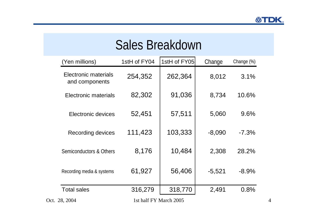## Sales Breakdown

| (Yen millions)                                | 1stH of FY04           | 1stH of FY05 | Change   | Change (%) |   |
|-----------------------------------------------|------------------------|--------------|----------|------------|---|
| <b>Electronic materials</b><br>and components | 254,352                | 262,364      | 8,012    | 3.1%       |   |
| Electronic materials                          | 82,302                 | 91,036       | 8,734    | 10.6%      |   |
| Electronic devices                            | 52,451                 | 57,511       | 5,060    | 9.6%       |   |
| Recording devices                             | 111,423                | 103,333      | $-8,090$ | $-7.3\%$   |   |
| Semiconductors & Others                       | 8,176                  | 10,484       | 2,308    | 28.2%      |   |
| Recording media & systems                     | 61,927                 | 56,406       | $-5,521$ | $-8.9\%$   |   |
| <b>Total sales</b>                            | 316,279                | 318,770      | 2,491    | 0.8%       |   |
| Oct. 28, 2004                                 | 1st half FY March 2005 |              |          |            | 4 |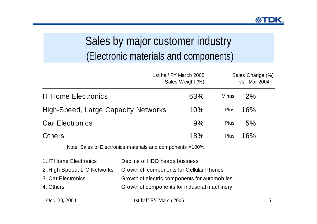## Sales by major customer industry (Electronic materials and components)

|                                                                                          |                                                                                                                                                                             | 1st half FY March 2005<br>Sales Weight (%) |              | Sales Change (%)<br>vs. Mar 2004 |  |
|------------------------------------------------------------------------------------------|-----------------------------------------------------------------------------------------------------------------------------------------------------------------------------|--------------------------------------------|--------------|----------------------------------|--|
| <b>IT Home Electronics</b>                                                               |                                                                                                                                                                             | 63%                                        | <b>Minus</b> | 2%                               |  |
| <b>High-Speed, Large Capacity Networks</b>                                               |                                                                                                                                                                             | 10%                                        | <b>Plus</b>  | 16%                              |  |
| <b>Car Electronics</b>                                                                   |                                                                                                                                                                             | 9%                                         | <b>Plus</b>  | 5%                               |  |
| <b>Others</b>                                                                            |                                                                                                                                                                             | 18%                                        | <b>Plus</b>  | 16%                              |  |
|                                                                                          | Note: Sales of Electronics materials and components = 100%                                                                                                                  |                                            |              |                                  |  |
| 1. IT Home Electronics<br>2. High-Speed, L-C Networks<br>3. Car Electronics<br>4. Others | Decline of HDD heads business<br>Growth of components for Cellular Phones<br>Growth of electric components for automobiles<br>Growth of components for industrial machinery |                                            |              |                                  |  |

Oct. 28, 2004 1st half FY March 2005 5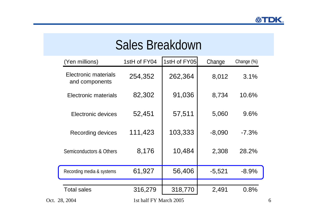## Sales Breakdown

| (Yen millions)                         | 1stH of FY04           | 1stH of FY05 | Change   | Change (%) |
|----------------------------------------|------------------------|--------------|----------|------------|
| Electronic materials<br>and components | 254,352                | 262,364      | 8,012    | 3.1%       |
| Electronic materials                   | 82,302                 | 91,036       | 8,734    | 10.6%      |
| Electronic devices                     | 52,451                 | 57,511       | 5,060    | 9.6%       |
| Recording devices                      | 111,423                | 103,333      | $-8,090$ | $-7.3%$    |
| Semiconductors & Others                | 8,176                  | 10,484       | 2,308    | 28.2%      |
| Recording media & systems              | 61,927                 | 56,406       | $-5,521$ | $-8.9%$    |
| <b>Total sales</b>                     | 316,279                | 318,770      | 2,491    | 0.8%       |
| Oct. 28, 2004                          | 1st half FY March 2005 |              |          |            |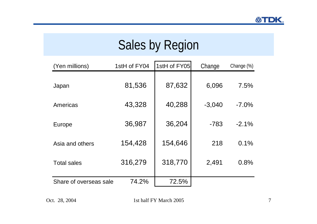## Sales by Region

| (Yen millions)         | 1stH of FY04 | 1stH of FY05 | Change   | Change (%) |
|------------------------|--------------|--------------|----------|------------|
|                        |              |              |          |            |
| Japan                  | 81,536       | 87,632       | 6,096    | 7.5%       |
| Americas               | 43,328       | 40,288       | $-3,040$ | $-7.0\%$   |
| Europe                 | 36,987       | 36,204       | $-783$   | $-2.1\%$   |
| Asia and others        | 154,428      | 154,646      | 218      | 0.1%       |
| <b>Total sales</b>     | 316,279      | 318,770      | 2,491    | 0.8%       |
| Share of overseas sale | 74.2%        | 72.5%        |          |            |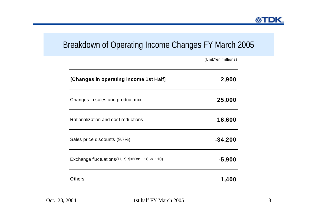#### Breakdown of Operating Income Changes FY March 2005

| 2,900     |
|-----------|
|           |
| 25,000    |
| 16,600    |
| $-34,200$ |
| $-5,900$  |
| 1,400     |
|           |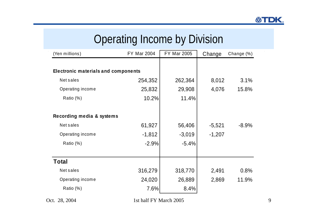|                                            | Operating income by Division |                    |          |            |
|--------------------------------------------|------------------------------|--------------------|----------|------------|
| (Yen millions)                             | <b>FY Mar 2004</b>           | <b>FY Mar 2005</b> | Change   | Change (%) |
|                                            |                              |                    |          |            |
| <b>Electronic materials and components</b> |                              |                    |          |            |
| <b>Net sales</b>                           | 254,352                      | 262,364            | 8,012    | 3.1%       |
| Operating income                           | 25,832                       | 29,908             | 4,076    | 15.8%      |
| Ratio (%)                                  | 10.2%                        | 11.4%              |          |            |
|                                            |                              |                    |          |            |
| Recording media & systems                  |                              |                    |          |            |
| <b>Net sales</b>                           | 61,927                       | 56,406             | $-5,521$ | $-8.9%$    |
| Operating income                           | $-1,812$                     | $-3,019$           | $-1,207$ |            |
| Ratio (%)                                  | $-2.9%$                      | $-5.4%$            |          |            |
|                                            |                              |                    |          |            |
| <b>Total</b>                               |                              |                    |          |            |
| <b>Net sales</b>                           | 316,279                      | 318,770            | 2,491    | 0.8%       |
| Operating income                           | 24,020                       | 26,889             | 2,869    | 11.9%      |
| Ratio (%)                                  | 7.6%                         | 8.4%               |          |            |

Operating Income by Division

Oct. 28, 2004 1st half FY March 2005 9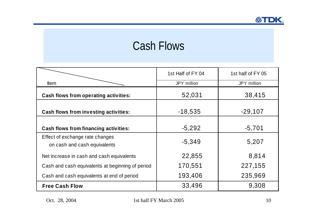## Cash Flows

|                                                                 | 1st Half of FY 04 | 1st half of FY 05 |
|-----------------------------------------------------------------|-------------------|-------------------|
| <b>Item</b>                                                     | JPY million       | JPY million       |
| <b>Cash flows from operating activities:</b>                    | 52,031            | 38,415            |
| <b>Cash flows from investing activities:</b>                    | $-18,535$         | $-29,107$         |
| <b>Cash flows from financing activities:</b>                    | $-5,292$          | $-5,701$          |
| Effect of exchange rate changes<br>on cash and cash equivalents | $-5,349$          | 5,207             |
| Net increase in cash and cash equivalents                       | 22,855            | 8,814             |
| Cash and cash equivalents at beginning of period                | 170,551           | 227,155           |
| Cash and cash equivalents at end of period                      | 193,406           | 235,969           |
| <b>Free Cash Flow</b>                                           | 33,496            | 9,308             |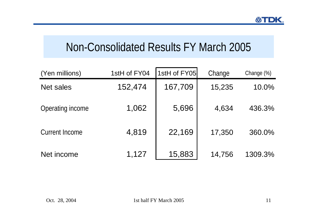## Non-Consolidated Results FY March 2005

| (Yen millions)        | 1stH of FY04 | 1stH of FY05 | Change | Change (%) |
|-----------------------|--------------|--------------|--------|------------|
| <b>Net sales</b>      | 152,474      | 167,709      | 15,235 | 10.0%      |
| Operating income      | 1,062        | 5,696        | 4,634  | 436.3%     |
| <b>Current Income</b> | 4,819        | 22,169       | 17,350 | 360.0%     |
| Net income            | 1,127        | 15,883       | 14,756 | 1309.3%    |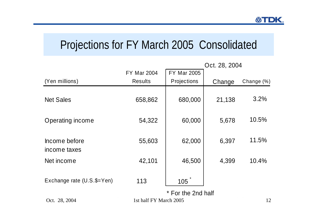## Projections for FY March 2005 Consolidated

|                               | Oct. 28, 2004          |                    |        |            |  |
|-------------------------------|------------------------|--------------------|--------|------------|--|
|                               | <b>FY Mar 2004</b>     | <b>FY Mar 2005</b> |        |            |  |
| (Yen millions)                | <b>Results</b>         | Projections        | Change | Change (%) |  |
| <b>Net Sales</b>              | 658,862                | 680,000            | 21,138 | 3.2%       |  |
| Operating income              | 54,322                 | 60,000             | 5,678  | 10.5%      |  |
| Income before<br>income taxes | 55,603                 | 62,000             | 6,397  | 11.5%      |  |
| Net income                    | 42,101                 | 46,500             | 4,399  | 10.4%      |  |
| Exchange rate (U.S.\$=Yen)    | 113                    | 105                |        |            |  |
| Oct. 28, 2004                 | 1st half FY March 2005 | * For the 2nd half |        | 12         |  |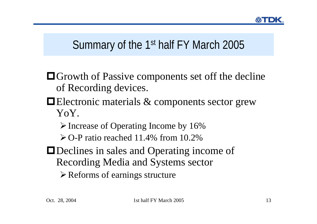## Summary of the 1st half FY March 2005

- Growth of Passive components set off the decline of Recording devices.
- ■Electronic materials & components sector grew YoY.
	- $\triangleright$  Increase of Operating Income by 16%
	- $\geq$  O-P ratio reached 11.4% from 10.2%
- Declines in sales and Operating income of Recording Media and Systems sector
	- $\triangleright$  Reforms of earnings structure